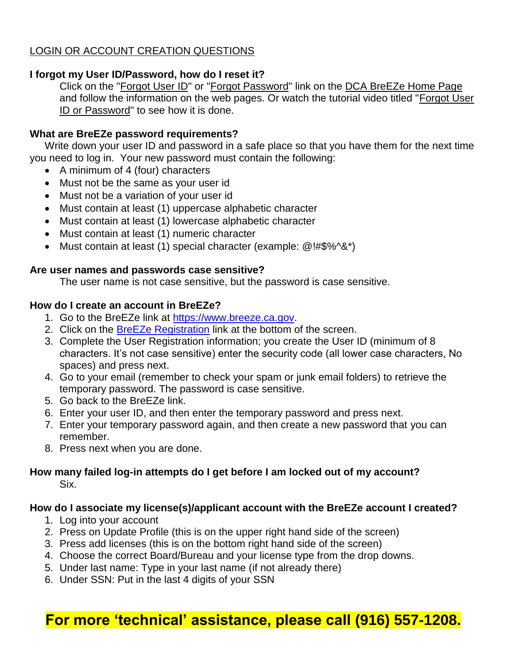# LOGIN OR ACCOUNT CREATION QUESTIONS

# **I forgot my User ID/Password, how do I reset it?**

Click on the ["Forgot User ID"](https://www.breeze.ca.gov/datamart/askEmailAddr.do) or ["Forgot Password"](https://www.breeze.ca.gov/datamart/askUserid.do) link on the [DCA BreEZe Home Page](https://www.breeze.ca.gov/datamart/loginCADCA.do) and follow the information on the web pages. Or watch the tutorial video titled ["Forgot User](https://www.dca.ca.gov/webapps/breeze/forgot_password_breeze/forgot_password_breeze.html)  [ID or Password"](https://www.dca.ca.gov/webapps/breeze/forgot_password_breeze/forgot_password_breeze.html) to see how it is done.

# **What are BreEZe password requirements?**

Write down your user ID and password in a safe place so that you have them for the next time you need to log in. Your new password must contain the following:

- A minimum of 4 (four) characters
- Must not be the same as your user id
- Must not be a variation of your user id
- Must contain at least (1) uppercase alphabetic character
- Must contain at least (1) lowercase alphabetic character
- Must contain at least (1) numeric character
- Must contain at least (1) special character (example: @!#\$%^&\*)

# **Are user names and passwords case sensitive?**

The user name is not case sensitive, but the password is case sensitive.

# **How do I create an account in BreEZe?**

- 1. Go to the BreEZe link at [https://www.breeze.ca.gov.](https://www.breeze.ca.gov/)
- 2. Click on the [BreEZe Registration](https://www.breeze.ca.gov/datamart/registration.do?from=loginPage) link at the bottom of the screen.
- 3. Complete the User Registration information; you create the User ID (minimum of 8 characters. It's not case sensitive) enter the security code (all lower case characters, No spaces) and press next.
- 4. Go to your email (remember to check your spam or junk email folders) to retrieve the temporary password. The password is case sensitive.
- 5. Go back to the BreEZe link.
- 6. Enter your user ID, and then enter the temporary password and press next.
- 7. Enter your temporary password again, and then create a new password that you can remember.
- 8. Press next when you are done.

# **How many failed log-in attempts do I get before I am locked out of my account?** Six.

# **How do I associate my license(s)/applicant account with the BreEZe account I created?**

- 1. Log into your account
- 2. Press on Update Profile (this is on the upper right hand side of the screen)
- 3. Press add licenses (this is on the bottom right hand side of the screen)
- 4. Choose the correct Board/Bureau and your license type from the drop downs.
- 5. Under last name: Type in your last name (if not already there)
- 6. Under SSN: Put in the last 4 digits of your SSN

# **For more 'technical' assistance, please call (916) 557-1208.**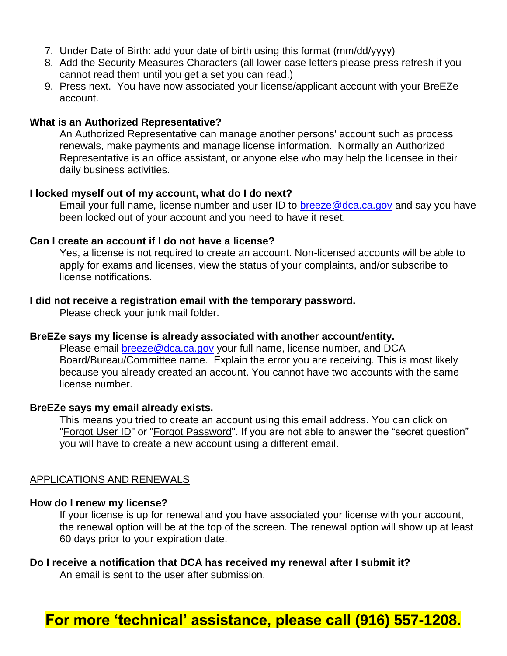- 7. Under Date of Birth: add your date of birth using this format (mm/dd/yyyy)
- 8. Add the Security Measures Characters (all lower case letters please press refresh if you cannot read them until you get a set you can read.)
- 9. Press next. You have now associated your license/applicant account with your BreEZe account.

## **What is an Authorized Representative?**

An Authorized Representative can manage another persons' account such as process renewals, make payments and manage license information. Normally an Authorized Representative is an office assistant, or anyone else who may help the licensee in their daily business activities.

## **I locked myself out of my account, what do I do next?**

Email your full name, license number and user ID to [breeze@dca.ca.gov](file:///C:/Users/othmart/AppData/Local/Microsoft/Windows/Temporary%20Internet%20Files/Content.Outlook/U96C1RCM/breeze@dca.ca.gov) and say you have been locked out of your account and you need to have it reset.

#### **Can I create an account if I do not have a license?**

Yes, a license is not required to create an account. Non-licensed accounts will be able to apply for exams and licenses, view the status of your complaints, and/or subscribe to license notifications.

## **I did not receive a registration email with the temporary password.**

Please check your junk mail folder.

#### **BreEZe says my license is already associated with another account/entity.**

Please email **breeze@dca.ca.gov** your full name, license number, and DCA Board/Bureau/Committee name. Explain the error you are receiving. This is most likely because you already created an account. You cannot have two accounts with the same license number.

#### **BreEZe says my email already exists.**

This means you tried to create an account using this email address. You can click on ["Forgot User ID"](https://www.breeze.ca.gov/datamart/askEmailAddr.do) or ["Forgot Password"](https://www.breeze.ca.gov/datamart/askUserid.do). If you are not able to answer the "secret question" you will have to create a new account using a different email.

#### APPLICATIONS AND RENEWALS

#### **How do I renew my license?**

If your license is up for renewal and you have associated your license with your account, the renewal option will be at the top of the screen. The renewal option will show up at least 60 days prior to your expiration date.

# **Do I receive a notification that DCA has received my renewal after I submit it?**

An email is sent to the user after submission.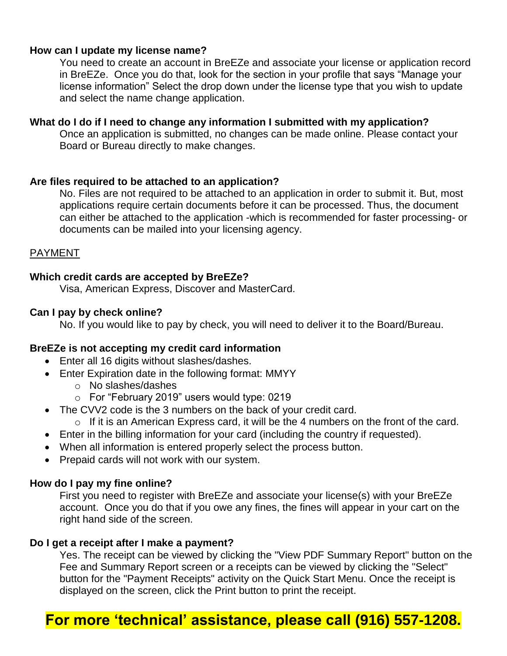# **How can I update my license name?**

You need to create an account in BreEZe and associate your license or application record in BreEZe. Once you do that, look for the section in your profile that says "Manage your license information" Select the drop down under the license type that you wish to update and select the name change application.

## **What do I do if I need to change any information I submitted with my application?**

Once an application is submitted, no changes can be made online. Please contact your Board or Bureau directly to make changes.

## **Are files required to be attached to an application?**

No. Files are not required to be attached to an application in order to submit it. But, most applications require certain documents before it can be processed. Thus, the document can either be attached to the application -which is recommended for faster processing- or documents can be mailed into your licensing agency.

# PAYMENT

# **Which credit cards are accepted by BreEZe?**

Visa, American Express, Discover and MasterCard.

# **Can I pay by check online?**

No. If you would like to pay by check, you will need to deliver it to the Board/Bureau.

# **BreEZe is not accepting my credit card information**

- Enter all 16 digits without slashes/dashes.
- Enter Expiration date in the following format: MMYY
	- o No slashes/dashes
	- o For "February 2019" users would type: 0219
- The CVV2 code is the 3 numbers on the back of your credit card.
	- o If it is an American Express card, it will be the 4 numbers on the front of the card.
- Enter in the billing information for your card (including the country if requested).
- When all information is entered properly select the process button.
- Prepaid cards will not work with our system.

## **How do I pay my fine online?**

First you need to register with BreEZe and associate your license(s) with your BreEZe account. Once you do that if you owe any fines, the fines will appear in your cart on the right hand side of the screen.

## **Do I get a receipt after I make a payment?**

Yes. The receipt can be viewed by clicking the "View PDF Summary Report" button on the Fee and Summary Report screen or a receipts can be viewed by clicking the "Select" button for the "Payment Receipts" activity on the Quick Start Menu. Once the receipt is displayed on the screen, click the Print button to print the receipt.

# **For more 'technical' assistance, please call (916) 557-1208.**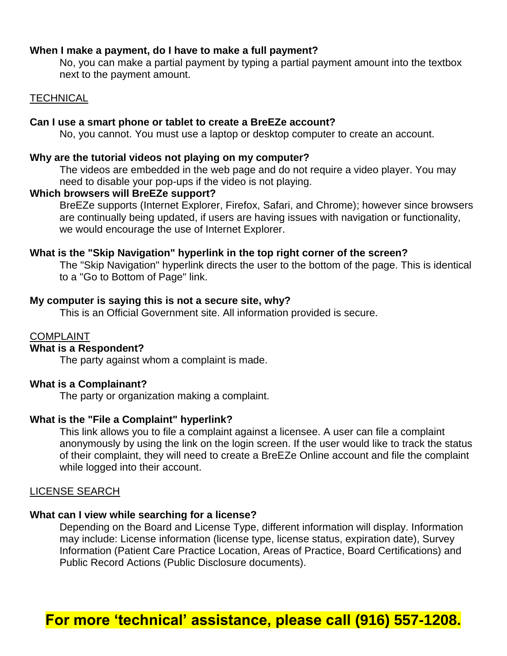## **When I make a payment, do I have to make a full payment?**

No, you can make a partial payment by typing a partial payment amount into the textbox next to the payment amount.

## **TECHNICAL**

## **Can I use a smart phone or tablet to create a BreEZe account?**

No, you cannot. You must use a laptop or desktop computer to create an account.

#### **Why are the tutorial videos not playing on my computer?**

The videos are embedded in the web page and do not require a video player. You may need to disable your pop-ups if the video is not playing.

### **Which browsers will BreEZe support?**

BreEZe supports (Internet Explorer, Firefox, Safari, and Chrome); however since browsers are continually being updated, if users are having issues with navigation or functionality, we would encourage the use of Internet Explorer.

#### **What is the "Skip Navigation" hyperlink in the top right corner of the screen?**

The "Skip Navigation" hyperlink directs the user to the bottom of the page. This is identical to a "Go to Bottom of Page" link.

## **My computer is saying this is not a secure site, why?**

This is an Official Government site. All information provided is secure.

# COMPLAINT

# **What is a Respondent?**

The party against whom a complaint is made.

## **What is a Complainant?**

The party or organization making a complaint.

## **What is the "File a Complaint" hyperlink?**

This link allows you to file a complaint against a licensee. A user can file a complaint anonymously by using the link on the login screen. If the user would like to track the status of their complaint, they will need to create a BreEZe Online account and file the complaint while logged into their account.

#### LICENSE SEARCH

#### **What can I view while searching for a license?**

Depending on the Board and License Type, different information will display. Information may include: License information (license type, license status, expiration date), Survey Information (Patient Care Practice Location, Areas of Practice, Board Certifications) and Public Record Actions (Public Disclosure documents).

# **For more 'technical' assistance, please call (916) 557-1208.**